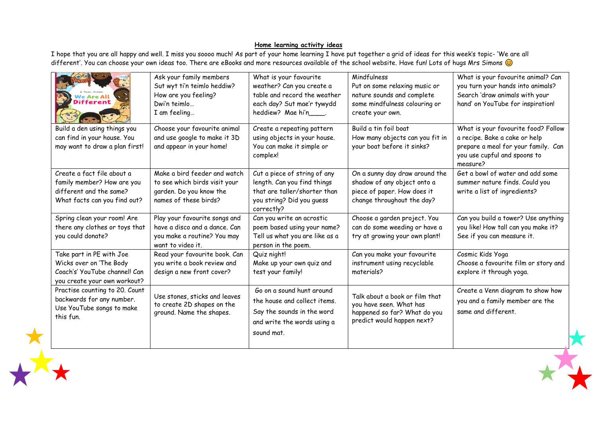## **Home learning activity ideas**

I hope that you are all happy and well. I miss you soooo much! As part of your home learning I have put together a grid of ideas for this week's topic- 'We are all different'. You can choose your own ideas too. There are eBooks and more resources available of the school website. Have fun! Lots of hugs Mrs Simons @

| We Are All<br><b>Different</b>                                                                                       | Ask your family members<br>Sut wyt ti'n teimlo heddiw?<br>How are you feeling?<br>Dwi'n teimlo<br>I am feeling     | What is your favourite<br>weather? Can you create a<br>table and record the weather<br>each day? Sut mae'r tywydd<br>heddiew? Mae hi'n | Mindfulness<br>Put on some relaxing music or<br>nature sounds and complete<br>some mindfulness colouring or<br>create your own. | What is your favourite animal? Can<br>you turn your hands into animals?<br>Search 'draw animals with your<br>hand' on YouTube for inspiration!          |
|----------------------------------------------------------------------------------------------------------------------|--------------------------------------------------------------------------------------------------------------------|----------------------------------------------------------------------------------------------------------------------------------------|---------------------------------------------------------------------------------------------------------------------------------|---------------------------------------------------------------------------------------------------------------------------------------------------------|
| Build a den using things you<br>can find in your house. You<br>may want to draw a plan first!                        | Choose your favourite animal<br>and use google to make it 3D<br>and appear in your home!                           | Create a repeating pattern<br>using objects in your house.<br>You can make it simple or<br>complex!                                    | Build a tin foil boat<br>How many objects can you fit in<br>your boat before it sinks?                                          | What is your favourite food? Follow<br>a recipe. Bake a cake or help<br>prepare a meal for your family. Can<br>you use cupful and spoons to<br>measure? |
| Create a fact file about a<br>family member? How are you<br>different and the same?<br>What facts can you find out?  | Make a bird feeder and watch<br>to see which birds visit your<br>garden. Do you know the<br>names of these birds?  | Cut a piece of string of any<br>length. Can you find things<br>that are taller/shorter than<br>you string? Did you quess<br>correctly? | On a sunny day draw around the<br>shadow of any object onto a<br>piece of paper. How does it<br>change throughout the day?      | Get a bowl of water and add some<br>summer nature finds. Could you<br>write a list of ingredients?                                                      |
| Spring clean your room! Are<br>there any clothes or toys that<br>you could donate?                                   | Play your favourite songs and<br>have a disco and a dance. Can<br>you make a routine? You may<br>want to video it. | Can you write an acrostic<br>poem based using your name?<br>Tell us what you are like as a<br>person in the poem.                      | Choose a garden project. You<br>can do some weeding or have a<br>try at growing your own plant!                                 | Can you build a tower? Use anything<br>you like! How tall can you make it?<br>See if you can measure it.                                                |
| Take part in PE with Joe<br>Wicks over on 'The Body<br>Coach's' YouTube channel! Can<br>you create your own workout? | Read your favourite book. Can<br>you write a book review and<br>design a new front cover?                          | Quiz night!<br>Make up your own quiz and<br>test your family!                                                                          | Can you make your favourite<br>instrument using recyclable<br>materials?                                                        | Cosmic Kids Yoga<br>Choose a favourite film or story and<br>explore it through yoga.                                                                    |
| Practise counting to 20. Count<br>backwards for any number.<br>Use YouTube songs to make<br>this fun.                | Use stones, sticks and leaves<br>to create 2D shapes on the<br>ground. Name the shapes.                            | Go on a sound hunt around<br>the house and collect items.<br>Say the sounds in the word<br>and write the words using a<br>sound mat.   | Talk about a book or film that<br>you have seen. What has<br>happened so far? What do you<br>predict would happen next?         | Create a Venn diagram to show how<br>you and a family member are the<br>same and different.                                                             |